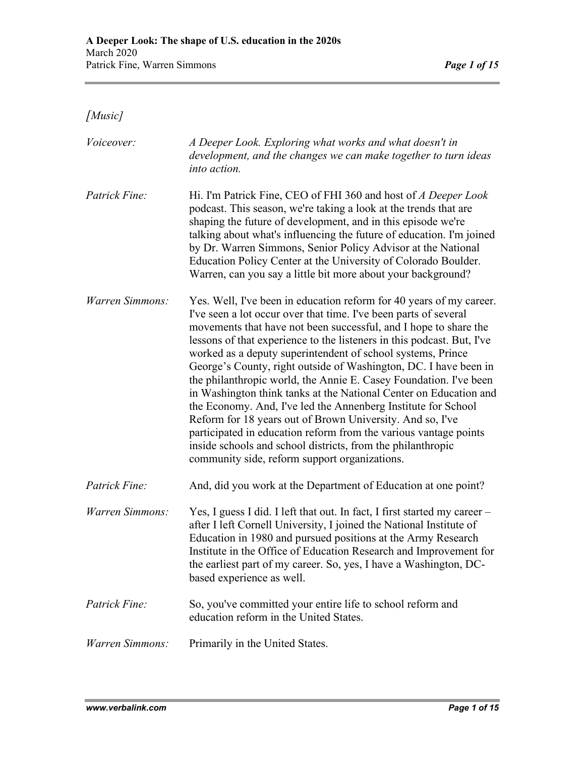*[Music]*

| Voiceover:      | A Deeper Look. Exploring what works and what doesn't in<br>development, and the changes we can make together to turn ideas<br>into action.                                                                                                                                                                                                                                                                                                                                                                                                                                                                                                                                                                                                                                                                                                                                           |
|-----------------|--------------------------------------------------------------------------------------------------------------------------------------------------------------------------------------------------------------------------------------------------------------------------------------------------------------------------------------------------------------------------------------------------------------------------------------------------------------------------------------------------------------------------------------------------------------------------------------------------------------------------------------------------------------------------------------------------------------------------------------------------------------------------------------------------------------------------------------------------------------------------------------|
| Patrick Fine:   | Hi. I'm Patrick Fine, CEO of FHI 360 and host of A Deeper Look<br>podcast. This season, we're taking a look at the trends that are<br>shaping the future of development, and in this episode we're<br>talking about what's influencing the future of education. I'm joined<br>by Dr. Warren Simmons, Senior Policy Advisor at the National<br>Education Policy Center at the University of Colorado Boulder.<br>Warren, can you say a little bit more about your background?                                                                                                                                                                                                                                                                                                                                                                                                         |
| Warren Simmons: | Yes. Well, I've been in education reform for 40 years of my career.<br>I've seen a lot occur over that time. I've been parts of several<br>movements that have not been successful, and I hope to share the<br>lessons of that experience to the listeners in this podcast. But, I've<br>worked as a deputy superintendent of school systems, Prince<br>George's County, right outside of Washington, DC. I have been in<br>the philanthropic world, the Annie E. Casey Foundation. I've been<br>in Washington think tanks at the National Center on Education and<br>the Economy. And, I've led the Annenberg Institute for School<br>Reform for 18 years out of Brown University. And so, I've<br>participated in education reform from the various vantage points<br>inside schools and school districts, from the philanthropic<br>community side, reform support organizations. |
| Patrick Fine:   | And, did you work at the Department of Education at one point?                                                                                                                                                                                                                                                                                                                                                                                                                                                                                                                                                                                                                                                                                                                                                                                                                       |
| Warren Simmons: | Yes, I guess I did. I left that out. In fact, I first started my career –<br>after I left Cornell University, I joined the National Institute of<br>Education in 1980 and pursued positions at the Army Research<br>Institute in the Office of Education Research and Improvement for<br>the earliest part of my career. So, yes, I have a Washington, DC-<br>based experience as well.                                                                                                                                                                                                                                                                                                                                                                                                                                                                                              |
| Patrick Fine:   | So, you've committed your entire life to school reform and<br>education reform in the United States.                                                                                                                                                                                                                                                                                                                                                                                                                                                                                                                                                                                                                                                                                                                                                                                 |
| Warren Simmons: | Primarily in the United States.                                                                                                                                                                                                                                                                                                                                                                                                                                                                                                                                                                                                                                                                                                                                                                                                                                                      |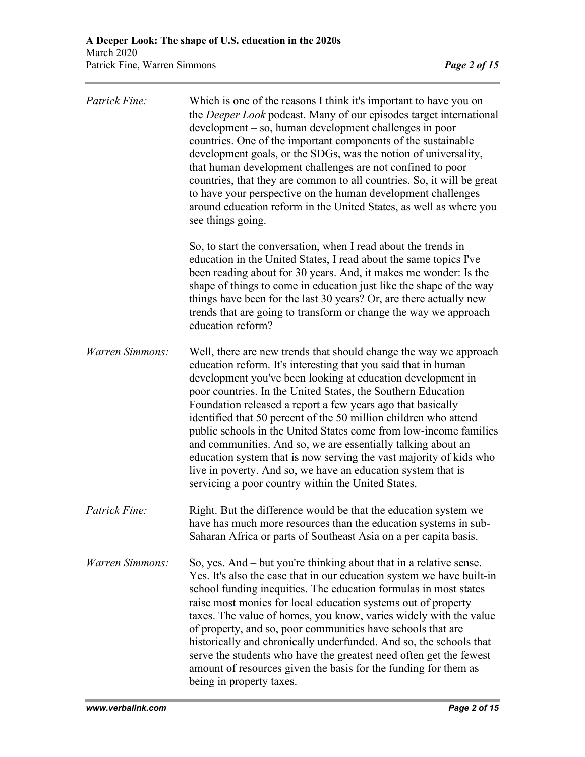| Patrick Fine:          | Which is one of the reasons I think it's important to have you on<br>the <i>Deeper Look</i> podcast. Many of our episodes target international<br>development – so, human development challenges in poor<br>countries. One of the important components of the sustainable<br>development goals, or the SDGs, was the notion of universality,<br>that human development challenges are not confined to poor<br>countries, that they are common to all countries. So, it will be great<br>to have your perspective on the human development challenges<br>around education reform in the United States, as well as where you<br>see things going.                                                                                        |
|------------------------|----------------------------------------------------------------------------------------------------------------------------------------------------------------------------------------------------------------------------------------------------------------------------------------------------------------------------------------------------------------------------------------------------------------------------------------------------------------------------------------------------------------------------------------------------------------------------------------------------------------------------------------------------------------------------------------------------------------------------------------|
|                        | So, to start the conversation, when I read about the trends in<br>education in the United States, I read about the same topics I've<br>been reading about for 30 years. And, it makes me wonder: Is the<br>shape of things to come in education just like the shape of the way<br>things have been for the last 30 years? Or, are there actually new<br>trends that are going to transform or change the way we approach<br>education reform?                                                                                                                                                                                                                                                                                          |
| <b>Warren Simmons:</b> | Well, there are new trends that should change the way we approach<br>education reform. It's interesting that you said that in human<br>development you've been looking at education development in<br>poor countries. In the United States, the Southern Education<br>Foundation released a report a few years ago that basically<br>identified that 50 percent of the 50 million children who attend<br>public schools in the United States come from low-income families<br>and communities. And so, we are essentially talking about an<br>education system that is now serving the vast majority of kids who<br>live in poverty. And so, we have an education system that is<br>servicing a poor country within the United States. |
| Patrick Fine:          | Right. But the difference would be that the education system we<br>have has much more resources than the education systems in sub-<br>Saharan Africa or parts of Southeast Asia on a per capita basis.                                                                                                                                                                                                                                                                                                                                                                                                                                                                                                                                 |
| Warren Simmons:        | So, yes. And – but you're thinking about that in a relative sense.<br>Yes. It's also the case that in our education system we have built-in<br>school funding inequities. The education formulas in most states<br>raise most monies for local education systems out of property<br>taxes. The value of homes, you know, varies widely with the value<br>of property, and so, poor communities have schools that are<br>historically and chronically underfunded. And so, the schools that<br>serve the students who have the greatest need often get the fewest<br>amount of resources given the basis for the funding for them as<br>being in property taxes.                                                                        |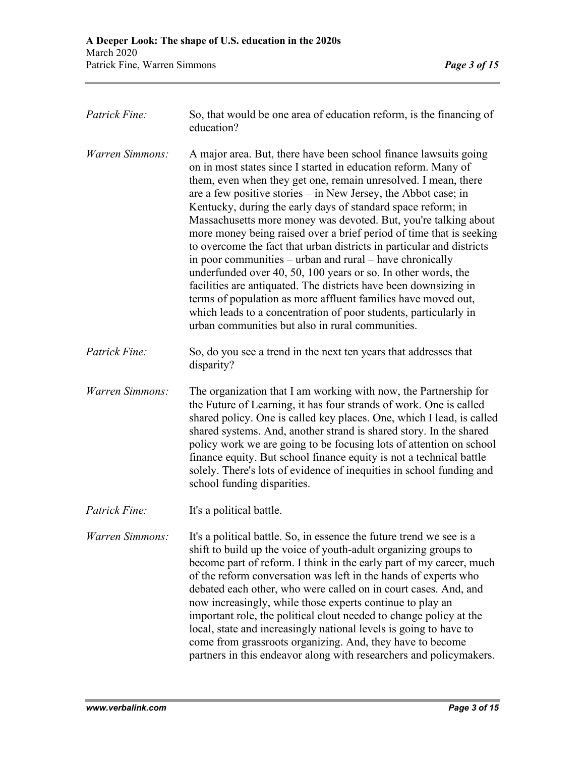| Patrick Fine:   | So, that would be one area of education reform, is the financing of<br>education?                                                                                                                                                                                                                                                                                                                                                                                                                                                                                                                                                                                                                                                                                                                                                                                                                                                                     |
|-----------------|-------------------------------------------------------------------------------------------------------------------------------------------------------------------------------------------------------------------------------------------------------------------------------------------------------------------------------------------------------------------------------------------------------------------------------------------------------------------------------------------------------------------------------------------------------------------------------------------------------------------------------------------------------------------------------------------------------------------------------------------------------------------------------------------------------------------------------------------------------------------------------------------------------------------------------------------------------|
| Warren Simmons: | A major area. But, there have been school finance lawsuits going<br>on in most states since I started in education reform. Many of<br>them, even when they get one, remain unresolved. I mean, there<br>are a few positive stories $-$ in New Jersey, the Abbot case; in<br>Kentucky, during the early days of standard space reform; in<br>Massachusetts more money was devoted. But, you're talking about<br>more money being raised over a brief period of time that is seeking<br>to overcome the fact that urban districts in particular and districts<br>in poor communities – urban and rural – have chronically<br>underfunded over 40, 50, 100 years or so. In other words, the<br>facilities are antiquated. The districts have been downsizing in<br>terms of population as more affluent families have moved out,<br>which leads to a concentration of poor students, particularly in<br>urban communities but also in rural communities. |
| Patrick Fine:   | So, do you see a trend in the next ten years that addresses that<br>disparity?                                                                                                                                                                                                                                                                                                                                                                                                                                                                                                                                                                                                                                                                                                                                                                                                                                                                        |
| Warren Simmons: | The organization that I am working with now, the Partnership for<br>the Future of Learning, it has four strands of work. One is called<br>shared policy. One is called key places. One, which I lead, is called<br>shared systems. And, another strand is shared story. In the shared<br>policy work we are going to be focusing lots of attention on school<br>finance equity. But school finance equity is not a technical battle<br>solely. There's lots of evidence of inequities in school funding and<br>school funding disparities.                                                                                                                                                                                                                                                                                                                                                                                                            |
| Patrick Fine:   | It's a political battle.                                                                                                                                                                                                                                                                                                                                                                                                                                                                                                                                                                                                                                                                                                                                                                                                                                                                                                                              |
| Warren Simmons: | It's a political battle. So, in essence the future trend we see is a<br>shift to build up the voice of youth-adult organizing groups to<br>become part of reform. I think in the early part of my career, much<br>of the reform conversation was left in the hands of experts who<br>debated each other, who were called on in court cases. And, and<br>now increasingly, while those experts continue to play an<br>important role, the political clout needed to change policy at the<br>local, state and increasingly national levels is going to have to<br>come from grassroots organizing. And, they have to become<br>partners in this endeavor along with researchers and policymakers.                                                                                                                                                                                                                                                       |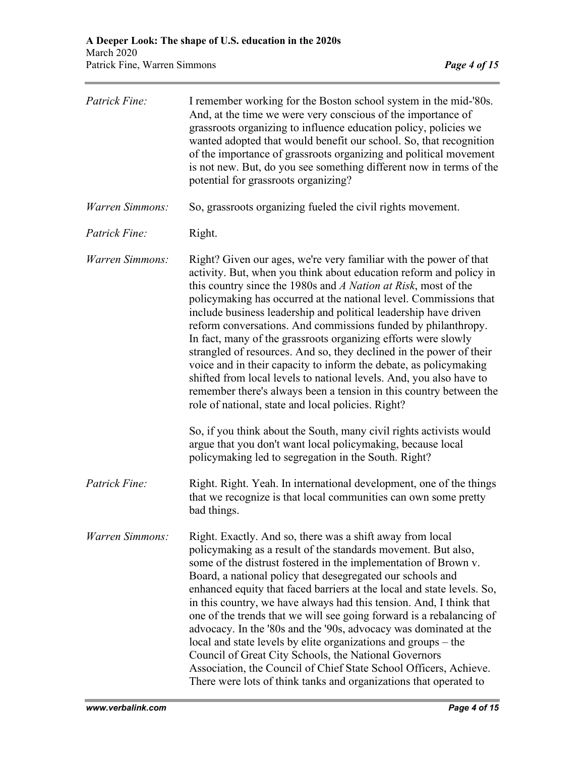| Patrick Fine:   | I remember working for the Boston school system in the mid-'80s.<br>And, at the time we were very conscious of the importance of<br>grassroots organizing to influence education policy, policies we<br>wanted adopted that would benefit our school. So, that recognition<br>of the importance of grassroots organizing and political movement<br>is not new. But, do you see something different now in terms of the<br>potential for grassroots organizing?                                                                                                                                                                                                                                                                                                                                                                       |
|-----------------|--------------------------------------------------------------------------------------------------------------------------------------------------------------------------------------------------------------------------------------------------------------------------------------------------------------------------------------------------------------------------------------------------------------------------------------------------------------------------------------------------------------------------------------------------------------------------------------------------------------------------------------------------------------------------------------------------------------------------------------------------------------------------------------------------------------------------------------|
| Warren Simmons: | So, grassroots organizing fueled the civil rights movement.                                                                                                                                                                                                                                                                                                                                                                                                                                                                                                                                                                                                                                                                                                                                                                          |
| Patrick Fine:   | Right.                                                                                                                                                                                                                                                                                                                                                                                                                                                                                                                                                                                                                                                                                                                                                                                                                               |
| Warren Simmons: | Right? Given our ages, we're very familiar with the power of that<br>activity. But, when you think about education reform and policy in<br>this country since the 1980s and A Nation at Risk, most of the<br>policymaking has occurred at the national level. Commissions that<br>include business leadership and political leadership have driven<br>reform conversations. And commissions funded by philanthropy.<br>In fact, many of the grassroots organizing efforts were slowly<br>strangled of resources. And so, they declined in the power of their<br>voice and in their capacity to inform the debate, as policymaking<br>shifted from local levels to national levels. And, you also have to<br>remember there's always been a tension in this country between the<br>role of national, state and local policies. Right? |
|                 | So, if you think about the South, many civil rights activists would<br>argue that you don't want local policymaking, because local<br>policymaking led to segregation in the South. Right?                                                                                                                                                                                                                                                                                                                                                                                                                                                                                                                                                                                                                                           |
| Patrick Fine:   | Right. Right. Yeah. In international development, one of the things<br>that we recognize is that local communities can own some pretty<br>bad things.                                                                                                                                                                                                                                                                                                                                                                                                                                                                                                                                                                                                                                                                                |
| Warren Simmons: | Right. Exactly. And so, there was a shift away from local<br>policymaking as a result of the standards movement. But also,<br>some of the distrust fostered in the implementation of Brown v.<br>Board, a national policy that desegregated our schools and<br>enhanced equity that faced barriers at the local and state levels. So,<br>in this country, we have always had this tension. And, I think that<br>one of the trends that we will see going forward is a rebalancing of<br>advocacy. In the '80s and the '90s, advocacy was dominated at the<br>local and state levels by elite organizations and groups - the<br>Council of Great City Schools, the National Governors<br>Association, the Council of Chief State School Officers, Achieve.<br>There were lots of think tanks and organizations that operated to       |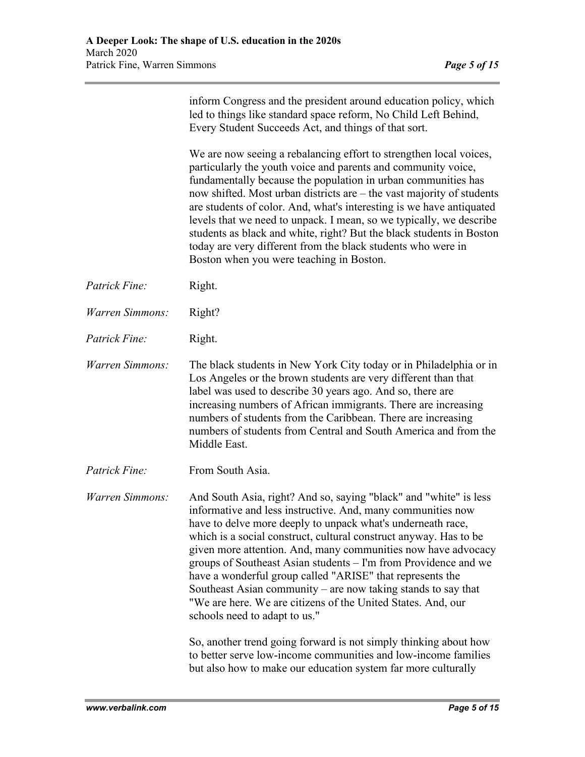| inform Congress and the president around education policy, which |
|------------------------------------------------------------------|
| led to things like standard space reform, No Child Left Behind,  |
| Every Student Succeeds Act, and things of that sort.             |

We are now seeing a rebalancing effort to strengthen local voices, particularly the youth voice and parents and community voice, fundamentally because the population in urban communities has now shifted. Most urban districts are – the vast majority of students are students of color. And, what's interesting is we have antiquated levels that we need to unpack. I mean, so we typically, we describe students as black and white, right? But the black students in Boston today are very different from the black students who were in Boston when you were teaching in Boston.

- *Patrick Fine:* Right.
- *Warren Simmons:* Right?
- *Patrick Fine:* Right.

*Warren Simmons:* The black students in New York City today or in Philadelphia or in Los Angeles or the brown students are very different than that label was used to describe 30 years ago. And so, there are increasing numbers of African immigrants. There are increasing numbers of students from the Caribbean. There are increasing numbers of students from Central and South America and from the Middle East.

*Patrick Fine:* From South Asia.

*Warren Simmons:* And South Asia, right? And so, saying "black" and "white" is less informative and less instructive. And, many communities now have to delve more deeply to unpack what's underneath race, which is a social construct, cultural construct anyway. Has to be given more attention. And, many communities now have advocacy groups of Southeast Asian students – I'm from Providence and we have a wonderful group called "ARISE" that represents the Southeast Asian community – are now taking stands to say that "We are here. We are citizens of the United States. And, our schools need to adapt to us."

> So, another trend going forward is not simply thinking about how to better serve low-income communities and low-income families but also how to make our education system far more culturally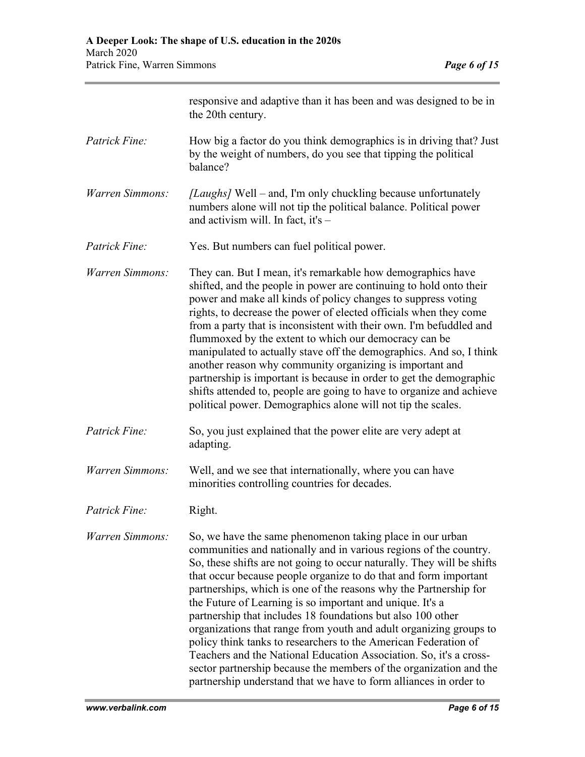|                 | responsive and adaptive than it has been and was designed to be in<br>the 20th century.                                                                                                                                                                                                                                                                                                                                                                                                                                                                                                                                                                                                                                                                                                                                                 |
|-----------------|-----------------------------------------------------------------------------------------------------------------------------------------------------------------------------------------------------------------------------------------------------------------------------------------------------------------------------------------------------------------------------------------------------------------------------------------------------------------------------------------------------------------------------------------------------------------------------------------------------------------------------------------------------------------------------------------------------------------------------------------------------------------------------------------------------------------------------------------|
| Patrick Fine:   | How big a factor do you think demographics is in driving that? Just<br>by the weight of numbers, do you see that tipping the political<br>balance?                                                                                                                                                                                                                                                                                                                                                                                                                                                                                                                                                                                                                                                                                      |
| Warren Simmons: | <i>[Laughs]</i> Well – and, I'm only chuckling because unfortunately<br>numbers alone will not tip the political balance. Political power<br>and activism will. In fact, it's $-$                                                                                                                                                                                                                                                                                                                                                                                                                                                                                                                                                                                                                                                       |
| Patrick Fine:   | Yes. But numbers can fuel political power.                                                                                                                                                                                                                                                                                                                                                                                                                                                                                                                                                                                                                                                                                                                                                                                              |
| Warren Simmons: | They can. But I mean, it's remarkable how demographics have<br>shifted, and the people in power are continuing to hold onto their<br>power and make all kinds of policy changes to suppress voting<br>rights, to decrease the power of elected officials when they come<br>from a party that is inconsistent with their own. I'm befuddled and<br>flummoxed by the extent to which our democracy can be<br>manipulated to actually stave off the demographics. And so, I think<br>another reason why community organizing is important and<br>partnership is important is because in order to get the demographic<br>shifts attended to, people are going to have to organize and achieve<br>political power. Demographics alone will not tip the scales.                                                                               |
| Patrick Fine:   | So, you just explained that the power elite are very adept at<br>adapting.                                                                                                                                                                                                                                                                                                                                                                                                                                                                                                                                                                                                                                                                                                                                                              |
| Warren Simmons: | Well, and we see that internationally, where you can have<br>minorities controlling countries for decades.                                                                                                                                                                                                                                                                                                                                                                                                                                                                                                                                                                                                                                                                                                                              |
| Patrick Fine:   | Right.                                                                                                                                                                                                                                                                                                                                                                                                                                                                                                                                                                                                                                                                                                                                                                                                                                  |
| Warren Simmons: | So, we have the same phenomenon taking place in our urban<br>communities and nationally and in various regions of the country.<br>So, these shifts are not going to occur naturally. They will be shifts<br>that occur because people organize to do that and form important<br>partnerships, which is one of the reasons why the Partnership for<br>the Future of Learning is so important and unique. It's a<br>partnership that includes 18 foundations but also 100 other<br>organizations that range from youth and adult organizing groups to<br>policy think tanks to researchers to the American Federation of<br>Teachers and the National Education Association. So, it's a cross-<br>sector partnership because the members of the organization and the<br>partnership understand that we have to form alliances in order to |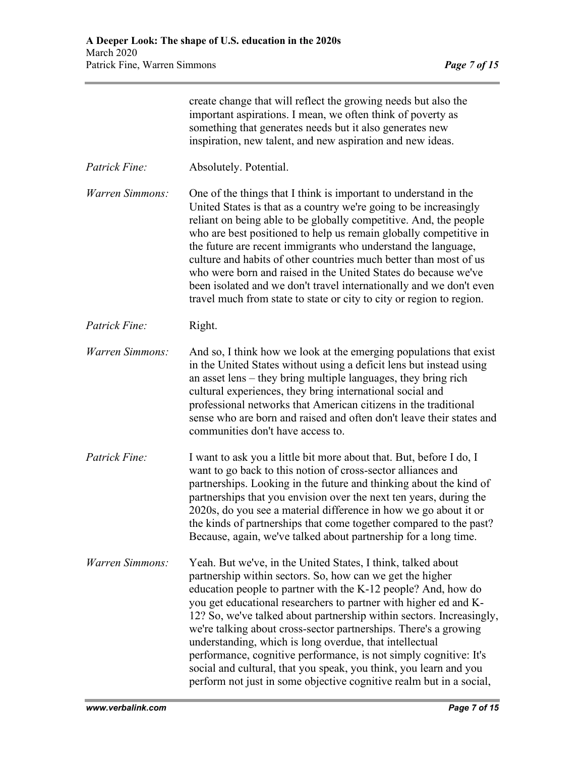|                        | create change that will reflect the growing needs but also the<br>important aspirations. I mean, we often think of poverty as<br>something that generates needs but it also generates new<br>inspiration, new talent, and new aspiration and new ideas.                                                                                                                                                                                                                                                                                                                                                                                |
|------------------------|----------------------------------------------------------------------------------------------------------------------------------------------------------------------------------------------------------------------------------------------------------------------------------------------------------------------------------------------------------------------------------------------------------------------------------------------------------------------------------------------------------------------------------------------------------------------------------------------------------------------------------------|
| Patrick Fine:          | Absolutely. Potential.                                                                                                                                                                                                                                                                                                                                                                                                                                                                                                                                                                                                                 |
| <b>Warren Simmons:</b> | One of the things that I think is important to understand in the<br>United States is that as a country we're going to be increasingly<br>reliant on being able to be globally competitive. And, the people<br>who are best positioned to help us remain globally competitive in<br>the future are recent immigrants who understand the language,<br>culture and habits of other countries much better than most of us<br>who were born and raised in the United States do because we've<br>been isolated and we don't travel internationally and we don't even<br>travel much from state to state or city to city or region to region. |
| Patrick Fine:          | Right.                                                                                                                                                                                                                                                                                                                                                                                                                                                                                                                                                                                                                                 |
| Warren Simmons:        | And so, I think how we look at the emerging populations that exist<br>in the United States without using a deficit lens but instead using<br>an asset lens – they bring multiple languages, they bring rich<br>cultural experiences, they bring international social and<br>professional networks that American citizens in the traditional<br>sense who are born and raised and often don't leave their states and<br>communities don't have access to.                                                                                                                                                                               |
| Patrick Fine:          | I want to ask you a little bit more about that. But, before I do, I<br>want to go back to this notion of cross-sector alliances and<br>partnerships. Looking in the future and thinking about the kind of<br>partnerships that you envision over the next ten years, during the<br>2020s, do you see a material difference in how we go about it or<br>the kinds of partnerships that come together compared to the past?<br>Because, again, we've talked about partnership for a long time.                                                                                                                                           |
| Warren Simmons:        | Yeah. But we've, in the United States, I think, talked about<br>partnership within sectors. So, how can we get the higher                                                                                                                                                                                                                                                                                                                                                                                                                                                                                                              |

education people to partner with the K-12 people? And, how do you get educational researchers to partner with higher ed and K-12? So, we've talked about partnership within sectors. Increasingly, we're talking about cross-sector partnerships. There's a growing

performance, cognitive performance, is not simply cognitive: It's social and cultural, that you speak, you think, you learn and you

understanding, which is long overdue, that intellectual

*www.verbalink.com Page 7 of 15* perform not just in some objective cognitive realm but in a social,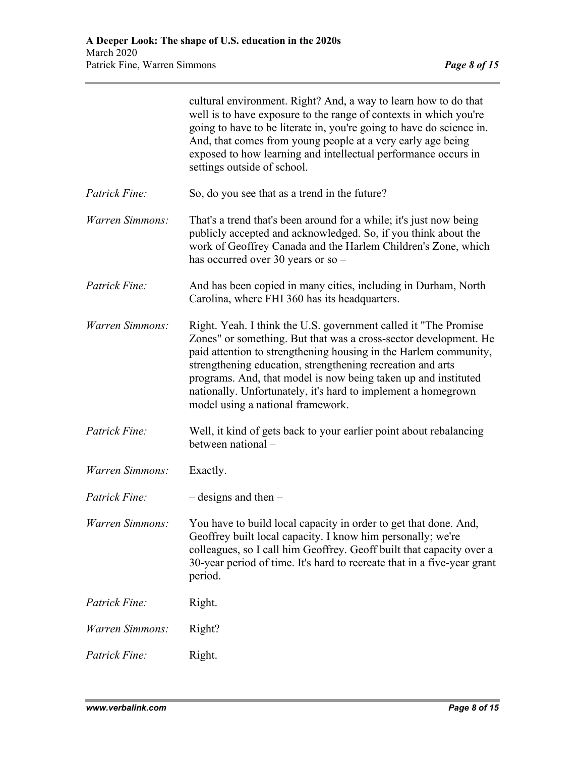|                 | cultural environment. Right? And, a way to learn how to do that<br>well is to have exposure to the range of contexts in which you're<br>going to have to be literate in, you're going to have do science in.<br>And, that comes from young people at a very early age being<br>exposed to how learning and intellectual performance occurs in<br>settings outside of school.                                                                   |
|-----------------|------------------------------------------------------------------------------------------------------------------------------------------------------------------------------------------------------------------------------------------------------------------------------------------------------------------------------------------------------------------------------------------------------------------------------------------------|
| Patrick Fine:   | So, do you see that as a trend in the future?                                                                                                                                                                                                                                                                                                                                                                                                  |
| Warren Simmons: | That's a trend that's been around for a while; it's just now being<br>publicly accepted and acknowledged. So, if you think about the<br>work of Geoffrey Canada and the Harlem Children's Zone, which<br>has occurred over 30 years or so $-$                                                                                                                                                                                                  |
| Patrick Fine:   | And has been copied in many cities, including in Durham, North<br>Carolina, where FHI 360 has its headquarters.                                                                                                                                                                                                                                                                                                                                |
| Warren Simmons: | Right. Yeah. I think the U.S. government called it "The Promise"<br>Zones" or something. But that was a cross-sector development. He<br>paid attention to strengthening housing in the Harlem community,<br>strengthening education, strengthening recreation and arts<br>programs. And, that model is now being taken up and instituted<br>nationally. Unfortunately, it's hard to implement a homegrown<br>model using a national framework. |
| Patrick Fine:   | Well, it kind of gets back to your earlier point about rebalancing<br>between national -                                                                                                                                                                                                                                                                                                                                                       |
| Warren Simmons: | Exactly.                                                                                                                                                                                                                                                                                                                                                                                                                                       |
| Patrick Fine:   | $-$ designs and then $-$                                                                                                                                                                                                                                                                                                                                                                                                                       |
| Warren Simmons: | You have to build local capacity in order to get that done. And,<br>Geoffrey built local capacity. I know him personally; we're<br>colleagues, so I call him Geoffrey. Geoff built that capacity over a<br>30-year period of time. It's hard to recreate that in a five-year grant<br>period.                                                                                                                                                  |
| Patrick Fine:   | Right.                                                                                                                                                                                                                                                                                                                                                                                                                                         |
| Warren Simmons: | Right?                                                                                                                                                                                                                                                                                                                                                                                                                                         |
| Patrick Fine:   | Right.                                                                                                                                                                                                                                                                                                                                                                                                                                         |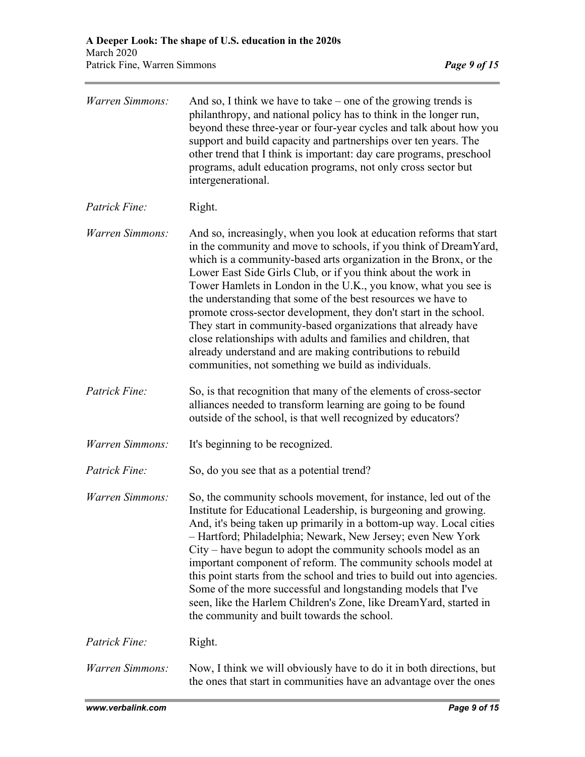| Warren Simmons: | And so, I think we have to take – one of the growing trends is<br>philanthropy, and national policy has to think in the longer run,<br>beyond these three-year or four-year cycles and talk about how you<br>support and build capacity and partnerships over ten years. The<br>other trend that I think is important: day care programs, preschool<br>programs, adult education programs, not only cross sector but<br>intergenerational.                                                                                                                                                                                                                                                                                                    |
|-----------------|-----------------------------------------------------------------------------------------------------------------------------------------------------------------------------------------------------------------------------------------------------------------------------------------------------------------------------------------------------------------------------------------------------------------------------------------------------------------------------------------------------------------------------------------------------------------------------------------------------------------------------------------------------------------------------------------------------------------------------------------------|
| Patrick Fine:   | Right.                                                                                                                                                                                                                                                                                                                                                                                                                                                                                                                                                                                                                                                                                                                                        |
| Warren Simmons: | And so, increasingly, when you look at education reforms that start<br>in the community and move to schools, if you think of DreamYard,<br>which is a community-based arts organization in the Bronx, or the<br>Lower East Side Girls Club, or if you think about the work in<br>Tower Hamlets in London in the U.K., you know, what you see is<br>the understanding that some of the best resources we have to<br>promote cross-sector development, they don't start in the school.<br>They start in community-based organizations that already have<br>close relationships with adults and families and children, that<br>already understand and are making contributions to rebuild<br>communities, not something we build as individuals. |
| Patrick Fine:   | So, is that recognition that many of the elements of cross-sector<br>alliances needed to transform learning are going to be found<br>outside of the school, is that well recognized by educators?                                                                                                                                                                                                                                                                                                                                                                                                                                                                                                                                             |
| Warren Simmons: | It's beginning to be recognized.                                                                                                                                                                                                                                                                                                                                                                                                                                                                                                                                                                                                                                                                                                              |
| Patrick Fine:   | So, do you see that as a potential trend?                                                                                                                                                                                                                                                                                                                                                                                                                                                                                                                                                                                                                                                                                                     |
| Warren Simmons: | So, the community schools movement, for instance, led out of the<br>Institute for Educational Leadership, is burgeoning and growing.<br>And, it's being taken up primarily in a bottom-up way. Local cities<br>- Hartford; Philadelphia; Newark, New Jersey; even New York<br>City – have begun to adopt the community schools model as an<br>important component of reform. The community schools model at<br>this point starts from the school and tries to build out into agencies.<br>Some of the more successful and longstanding models that I've<br>seen, like the Harlem Children's Zone, like DreamYard, started in<br>the community and built towards the school.                                                                   |
| Patrick Fine:   | Right.                                                                                                                                                                                                                                                                                                                                                                                                                                                                                                                                                                                                                                                                                                                                        |
| Warren Simmons: | Now, I think we will obviously have to do it in both directions, but<br>the ones that start in communities have an advantage over the ones                                                                                                                                                                                                                                                                                                                                                                                                                                                                                                                                                                                                    |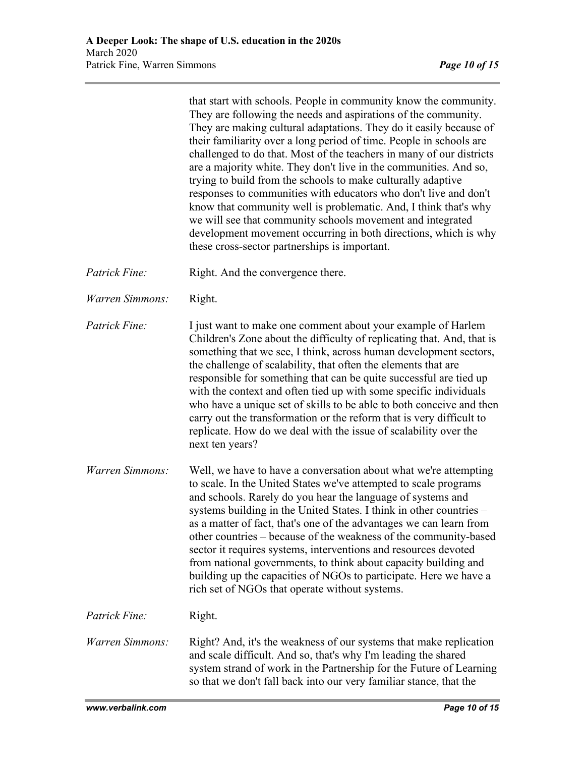that start with schools. People in community know the community. They are following the needs and aspirations of the community. They are making cultural adaptations. They do it easily because of their familiarity over a long period of time. People in schools are challenged to do that. Most of the teachers in many of our districts are a majority white. They don't live in the communities. And so, trying to build from the schools to make culturally adaptive responses to communities with educators who don't live and don't know that community well is problematic. And, I think that's why we will see that community schools movement and integrated development movement occurring in both directions, which is why these cross-sector partnerships is important.

- *Patrick Fine:* Right. And the convergence there.
- *Warren Simmons:* Right.

*Patrick Fine:* I just want to make one comment about your example of Harlem Children's Zone about the difficulty of replicating that. And, that is something that we see, I think, across human development sectors, the challenge of scalability, that often the elements that are responsible for something that can be quite successful are tied up with the context and often tied up with some specific individuals who have a unique set of skills to be able to both conceive and then carry out the transformation or the reform that is very difficult to replicate. How do we deal with the issue of scalability over the next ten years?

*Warren Simmons:* Well, we have to have a conversation about what we're attempting to scale. In the United States we've attempted to scale programs and schools. Rarely do you hear the language of systems and systems building in the United States. I think in other countries – as a matter of fact, that's one of the advantages we can learn from other countries – because of the weakness of the community-based sector it requires systems, interventions and resources devoted from national governments, to think about capacity building and building up the capacities of NGOs to participate. Here we have a rich set of NGOs that operate without systems.

*Patrick Fine:* Right.

*Warren Simmons:* Right? And, it's the weakness of our systems that make replication and scale difficult. And so, that's why I'm leading the shared system strand of work in the Partnership for the Future of Learning so that we don't fall back into our very familiar stance, that the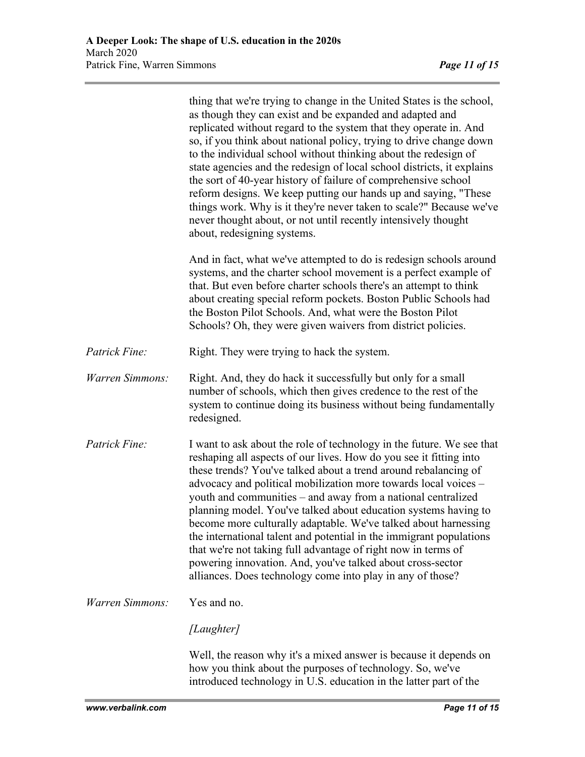|                 | thing that we're trying to change in the United States is the school,<br>as though they can exist and be expanded and adapted and<br>replicated without regard to the system that they operate in. And<br>so, if you think about national policy, trying to drive change down<br>to the individual school without thinking about the redesign of<br>state agencies and the redesign of local school districts, it explains<br>the sort of 40-year history of failure of comprehensive school<br>reform designs. We keep putting our hands up and saying, "These<br>things work. Why is it they're never taken to scale?" Because we've<br>never thought about, or not until recently intensively thought<br>about, redesigning systems.                     |
|-----------------|-------------------------------------------------------------------------------------------------------------------------------------------------------------------------------------------------------------------------------------------------------------------------------------------------------------------------------------------------------------------------------------------------------------------------------------------------------------------------------------------------------------------------------------------------------------------------------------------------------------------------------------------------------------------------------------------------------------------------------------------------------------|
|                 | And in fact, what we've attempted to do is redesign schools around<br>systems, and the charter school movement is a perfect example of<br>that. But even before charter schools there's an attempt to think<br>about creating special reform pockets. Boston Public Schools had<br>the Boston Pilot Schools. And, what were the Boston Pilot<br>Schools? Oh, they were given waivers from district policies.                                                                                                                                                                                                                                                                                                                                                |
| Patrick Fine:   | Right. They were trying to hack the system.                                                                                                                                                                                                                                                                                                                                                                                                                                                                                                                                                                                                                                                                                                                 |
| Warren Simmons: | Right. And, they do hack it successfully but only for a small<br>number of schools, which then gives credence to the rest of the<br>system to continue doing its business without being fundamentally<br>redesigned.                                                                                                                                                                                                                                                                                                                                                                                                                                                                                                                                        |
| Patrick Fine:   | I want to ask about the role of technology in the future. We see that<br>reshaping all aspects of our lives. How do you see it fitting into<br>these trends? You've talked about a trend around rebalancing of<br>advocacy and political mobilization more towards local voices -<br>youth and communities – and away from a national centralized<br>planning model. You've talked about education systems having to<br>become more culturally adaptable. We've talked about harnessing<br>the international talent and potential in the immigrant populations<br>that we're not taking full advantage of right now in terms of<br>powering innovation. And, you've talked about cross-sector<br>alliances. Does technology come into play in any of those? |
| Warren Simmons: | Yes and no.                                                                                                                                                                                                                                                                                                                                                                                                                                                                                                                                                                                                                                                                                                                                                 |
|                 | [Laughter]                                                                                                                                                                                                                                                                                                                                                                                                                                                                                                                                                                                                                                                                                                                                                  |
|                 | Well, the reason why it's a mixed answer is because it depends on<br>how you think about the purposes of technology. So, we've<br>introduced technology in U.S. education in the latter part of the                                                                                                                                                                                                                                                                                                                                                                                                                                                                                                                                                         |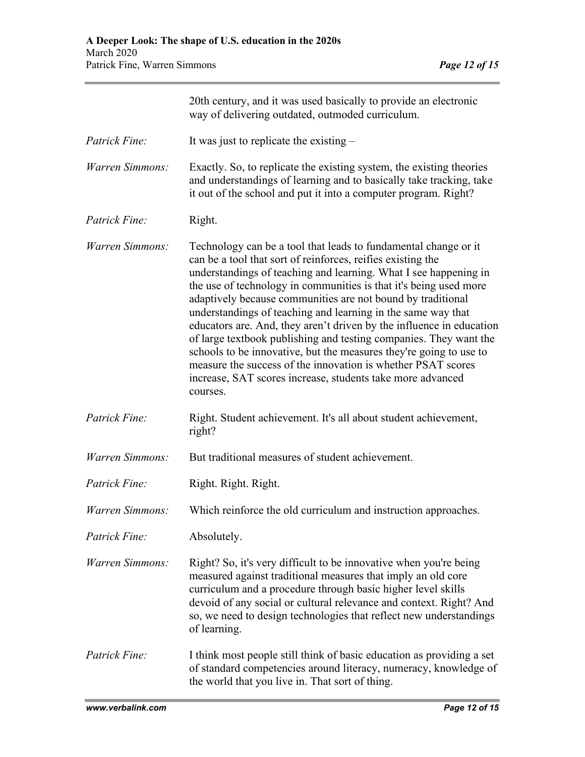|                 | 20th century, and it was used basically to provide an electronic<br>way of delivering outdated, outmoded curriculum.                                                                                                                                                                                                                                                                                                                                                                                                                                                                                                                                                                                                                                                |
|-----------------|---------------------------------------------------------------------------------------------------------------------------------------------------------------------------------------------------------------------------------------------------------------------------------------------------------------------------------------------------------------------------------------------------------------------------------------------------------------------------------------------------------------------------------------------------------------------------------------------------------------------------------------------------------------------------------------------------------------------------------------------------------------------|
| Patrick Fine:   | It was just to replicate the existing $-$                                                                                                                                                                                                                                                                                                                                                                                                                                                                                                                                                                                                                                                                                                                           |
| Warren Simmons: | Exactly. So, to replicate the existing system, the existing theories<br>and understandings of learning and to basically take tracking, take<br>it out of the school and put it into a computer program. Right?                                                                                                                                                                                                                                                                                                                                                                                                                                                                                                                                                      |
| Patrick Fine:   | Right.                                                                                                                                                                                                                                                                                                                                                                                                                                                                                                                                                                                                                                                                                                                                                              |
| Warren Simmons: | Technology can be a tool that leads to fundamental change or it<br>can be a tool that sort of reinforces, reifies existing the<br>understandings of teaching and learning. What I see happening in<br>the use of technology in communities is that it's being used more<br>adaptively because communities are not bound by traditional<br>understandings of teaching and learning in the same way that<br>educators are. And, they aren't driven by the influence in education<br>of large textbook publishing and testing companies. They want the<br>schools to be innovative, but the measures they're going to use to<br>measure the success of the innovation is whether PSAT scores<br>increase, SAT scores increase, students take more advanced<br>courses. |
| Patrick Fine:   | Right. Student achievement. It's all about student achievement,<br>right?                                                                                                                                                                                                                                                                                                                                                                                                                                                                                                                                                                                                                                                                                           |
| Warren Simmons: | But traditional measures of student achievement.                                                                                                                                                                                                                                                                                                                                                                                                                                                                                                                                                                                                                                                                                                                    |
| Patrick Fine:   | Right. Right. Right.                                                                                                                                                                                                                                                                                                                                                                                                                                                                                                                                                                                                                                                                                                                                                |
| Warren Simmons: | Which reinforce the old curriculum and instruction approaches.                                                                                                                                                                                                                                                                                                                                                                                                                                                                                                                                                                                                                                                                                                      |
| Patrick Fine:   | Absolutely.                                                                                                                                                                                                                                                                                                                                                                                                                                                                                                                                                                                                                                                                                                                                                         |
| Warren Simmons: | Right? So, it's very difficult to be innovative when you're being<br>measured against traditional measures that imply an old core<br>curriculum and a procedure through basic higher level skills<br>devoid of any social or cultural relevance and context. Right? And<br>so, we need to design technologies that reflect new understandings<br>of learning.                                                                                                                                                                                                                                                                                                                                                                                                       |
| Patrick Fine:   | I think most people still think of basic education as providing a set<br>of standard competencies around literacy, numeracy, knowledge of<br>the world that you live in. That sort of thing.                                                                                                                                                                                                                                                                                                                                                                                                                                                                                                                                                                        |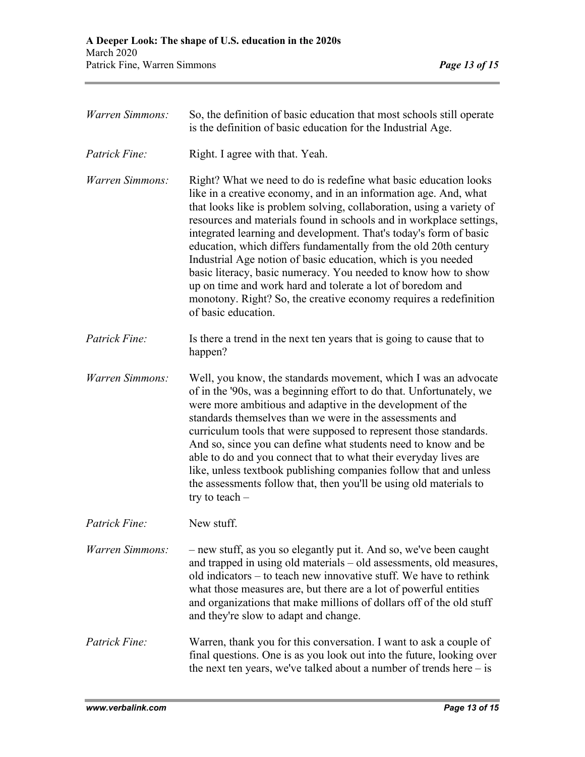| <b>Warren Simmons:</b> | So, the definition of basic education that most schools still operate<br>is the definition of basic education for the Industrial Age.                                                                                                                                                                                                                                                                                                                                                                                                                                                                                                                                                                                      |
|------------------------|----------------------------------------------------------------------------------------------------------------------------------------------------------------------------------------------------------------------------------------------------------------------------------------------------------------------------------------------------------------------------------------------------------------------------------------------------------------------------------------------------------------------------------------------------------------------------------------------------------------------------------------------------------------------------------------------------------------------------|
| Patrick Fine:          | Right. I agree with that. Yeah.                                                                                                                                                                                                                                                                                                                                                                                                                                                                                                                                                                                                                                                                                            |
| Warren Simmons:        | Right? What we need to do is redefine what basic education looks<br>like in a creative economy, and in an information age. And, what<br>that looks like is problem solving, collaboration, using a variety of<br>resources and materials found in schools and in workplace settings,<br>integrated learning and development. That's today's form of basic<br>education, which differs fundamentally from the old 20th century<br>Industrial Age notion of basic education, which is you needed<br>basic literacy, basic numeracy. You needed to know how to show<br>up on time and work hard and tolerate a lot of boredom and<br>monotony. Right? So, the creative economy requires a redefinition<br>of basic education. |
| Patrick Fine:          | Is there a trend in the next ten years that is going to cause that to<br>happen?                                                                                                                                                                                                                                                                                                                                                                                                                                                                                                                                                                                                                                           |
| Warren Simmons:        | Well, you know, the standards movement, which I was an advocate<br>of in the '90s, was a beginning effort to do that. Unfortunately, we<br>were more ambitious and adaptive in the development of the<br>standards themselves than we were in the assessments and<br>curriculum tools that were supposed to represent those standards.<br>And so, since you can define what students need to know and be<br>able to do and you connect that to what their everyday lives are<br>like, unless textbook publishing companies follow that and unless<br>the assessments follow that, then you'll be using old materials to<br>try to teach $-$                                                                                |
| Patrick Fine:          | New stuff.                                                                                                                                                                                                                                                                                                                                                                                                                                                                                                                                                                                                                                                                                                                 |
| Warren Simmons:        | - new stuff, as you so elegantly put it. And so, we've been caught<br>and trapped in using old materials - old assessments, old measures,<br>old indicators – to teach new innovative stuff. We have to rethink<br>what those measures are, but there are a lot of powerful entities<br>and organizations that make millions of dollars off of the old stuff<br>and they're slow to adapt and change.                                                                                                                                                                                                                                                                                                                      |
| Patrick Fine:          | Warren, thank you for this conversation. I want to ask a couple of<br>final questions. One is as you look out into the future, looking over<br>the next ten years, we've talked about a number of trends here $-$ is                                                                                                                                                                                                                                                                                                                                                                                                                                                                                                       |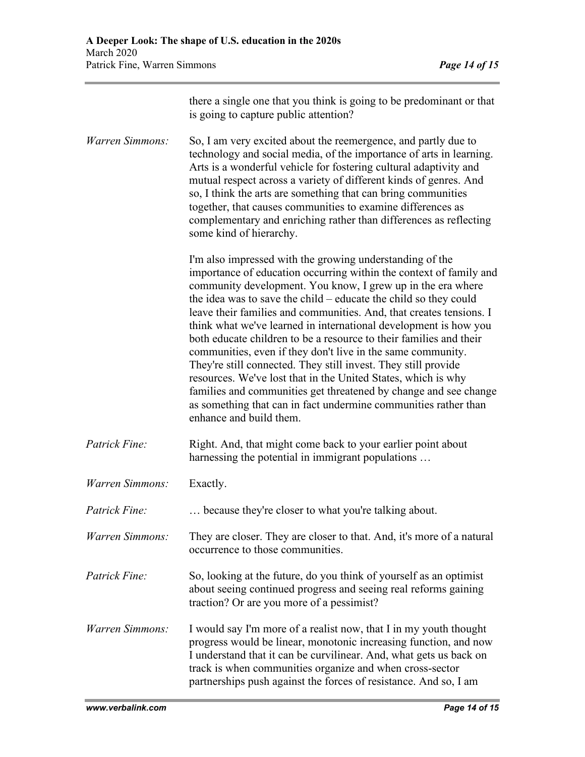|                 | there a single one that you think is going to be predominant or that<br>is going to capture public attention?                                                                                                                                                                                                                                                                                                                                                                                                                                                                                                                                                                                                                                                                                                                                          |
|-----------------|--------------------------------------------------------------------------------------------------------------------------------------------------------------------------------------------------------------------------------------------------------------------------------------------------------------------------------------------------------------------------------------------------------------------------------------------------------------------------------------------------------------------------------------------------------------------------------------------------------------------------------------------------------------------------------------------------------------------------------------------------------------------------------------------------------------------------------------------------------|
| Warren Simmons: | So, I am very excited about the reemergence, and partly due to<br>technology and social media, of the importance of arts in learning.<br>Arts is a wonderful vehicle for fostering cultural adaptivity and<br>mutual respect across a variety of different kinds of genres. And<br>so, I think the arts are something that can bring communities<br>together, that causes communities to examine differences as<br>complementary and enriching rather than differences as reflecting<br>some kind of hierarchy.                                                                                                                                                                                                                                                                                                                                        |
|                 | I'm also impressed with the growing understanding of the<br>importance of education occurring within the context of family and<br>community development. You know, I grew up in the era where<br>the idea was to save the child – educate the child so they could<br>leave their families and communities. And, that creates tensions. I<br>think what we've learned in international development is how you<br>both educate children to be a resource to their families and their<br>communities, even if they don't live in the same community.<br>They're still connected. They still invest. They still provide<br>resources. We've lost that in the United States, which is why<br>families and communities get threatened by change and see change<br>as something that can in fact undermine communities rather than<br>enhance and build them. |
| Patrick Fine:   | Right. And, that might come back to your earlier point about<br>harnessing the potential in immigrant populations                                                                                                                                                                                                                                                                                                                                                                                                                                                                                                                                                                                                                                                                                                                                      |
| Warren Simmons: | Exactly.                                                                                                                                                                                                                                                                                                                                                                                                                                                                                                                                                                                                                                                                                                                                                                                                                                               |
| Patrick Fine:   | because they're closer to what you're talking about.                                                                                                                                                                                                                                                                                                                                                                                                                                                                                                                                                                                                                                                                                                                                                                                                   |
| Warren Simmons: | They are closer. They are closer to that. And, it's more of a natural<br>occurrence to those communities.                                                                                                                                                                                                                                                                                                                                                                                                                                                                                                                                                                                                                                                                                                                                              |
| Patrick Fine:   | So, looking at the future, do you think of yourself as an optimist<br>about seeing continued progress and seeing real reforms gaining<br>traction? Or are you more of a pessimist?                                                                                                                                                                                                                                                                                                                                                                                                                                                                                                                                                                                                                                                                     |
| Warren Simmons: | I would say I'm more of a realist now, that I in my youth thought<br>progress would be linear, monotonic increasing function, and now<br>I understand that it can be curvilinear. And, what gets us back on<br>track is when communities organize and when cross-sector<br>partnerships push against the forces of resistance. And so, I am                                                                                                                                                                                                                                                                                                                                                                                                                                                                                                            |